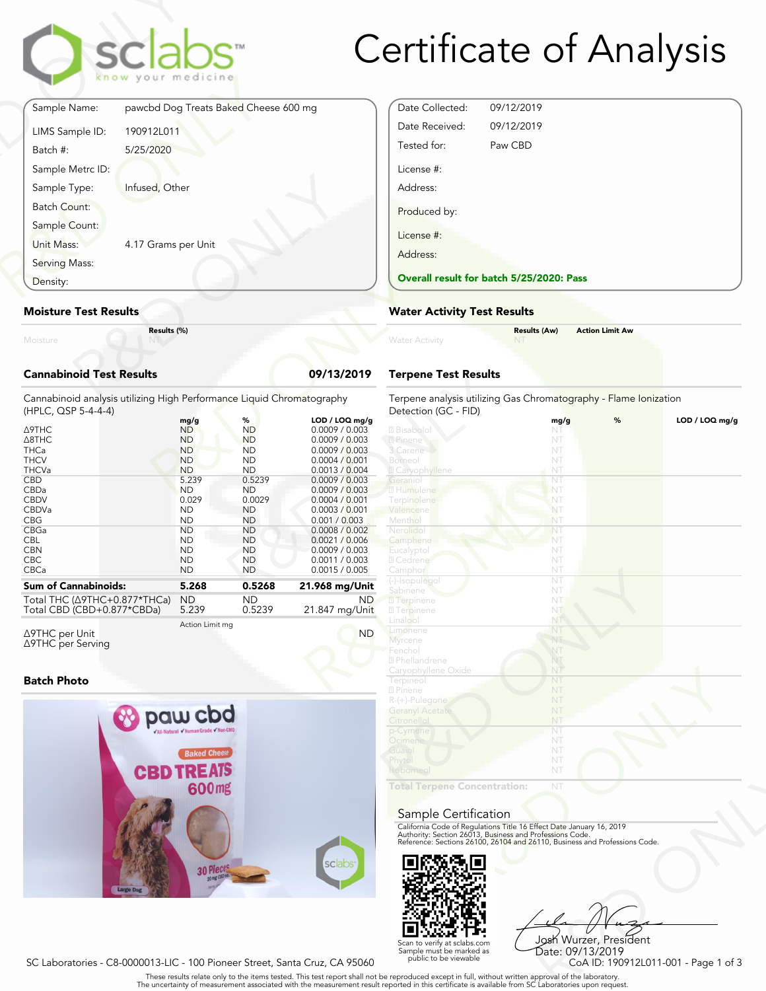

# Certificate of Analysis

|                                 | sclabs <sup>®</sup><br>know your medicine |            |
|---------------------------------|-------------------------------------------|------------|
| Sample Name:                    | pawcbd Dog Treats Baked Cheese 600 mg     |            |
| LIMS Sample ID:                 | 190912L011                                |            |
| Batch #:                        | 5/25/2020                                 |            |
| Sample Metrc ID:                |                                           |            |
| Sample Type:                    | Infused, Other                            |            |
| Batch Count:                    |                                           |            |
| Sample Count:                   |                                           |            |
| Unit Mass:                      | 4.17 Grams per Unit                       |            |
| Serving Mass:                   |                                           |            |
| Density:                        |                                           |            |
| <b>Moisture Test Results</b>    |                                           |            |
| Moisture                        | Results (%)                               |            |
| <b>Cannabinoid Test Results</b> |                                           | 09/13/2019 |

### **Moisture Test Results**

## **Cannabinoid Test Results 09/13/2019**

| Density:                                                                                                                                                                                     | <b>Overall result for batc</b><br><b>Water Activity Test R</b>                                                                                                                     |                                                                                                                                                                                   |                                                                                                                                                                                                                                                                           |                                                                                                                                                                                              |  |
|----------------------------------------------------------------------------------------------------------------------------------------------------------------------------------------------|------------------------------------------------------------------------------------------------------------------------------------------------------------------------------------|-----------------------------------------------------------------------------------------------------------------------------------------------------------------------------------|---------------------------------------------------------------------------------------------------------------------------------------------------------------------------------------------------------------------------------------------------------------------------|----------------------------------------------------------------------------------------------------------------------------------------------------------------------------------------------|--|
| <b>Moisture Test Results</b>                                                                                                                                                                 |                                                                                                                                                                                    |                                                                                                                                                                                   |                                                                                                                                                                                                                                                                           |                                                                                                                                                                                              |  |
| Results (%)<br>Moisture                                                                                                                                                                      |                                                                                                                                                                                    |                                                                                                                                                                                   |                                                                                                                                                                                                                                                                           | <b>Water Activity</b>                                                                                                                                                                        |  |
| <b>Cannabinoid Test Results</b><br>09/13/2019                                                                                                                                                |                                                                                                                                                                                    |                                                                                                                                                                                   |                                                                                                                                                                                                                                                                           | <b>Terpene Test Results</b>                                                                                                                                                                  |  |
| Cannabinoid analysis utilizing High Performance Liquid Chromatography<br>(HPLC, QSP 5-4-4-4)                                                                                                 |                                                                                                                                                                                    |                                                                                                                                                                                   |                                                                                                                                                                                                                                                                           | Terpene analysis utilizing<br>Detection (GC - FID)                                                                                                                                           |  |
| Δ9THC<br>$\triangle$ 8THC<br><b>THCa</b><br><b>THCV</b><br><b>THCVa</b><br><b>CBD</b><br>CBDa<br><b>CBDV</b><br><b>CBDVa</b><br><b>CBG</b><br>CBGa<br><b>CBL</b><br><b>CBN</b><br><b>CBC</b> | mg/g<br><b>ND</b><br><b>ND</b><br><b>ND</b><br><b>ND</b><br><b>ND</b><br>5.239<br><b>ND</b><br>0.029<br><b>ND</b><br><b>ND</b><br><b>ND</b><br><b>ND</b><br><b>ND</b><br><b>ND</b> | %<br><b>ND</b><br><b>ND</b><br><b>ND</b><br><b>ND</b><br><b>ND</b><br>0.5239<br><b>ND</b><br>0.0029<br><b>ND</b><br><b>ND</b><br><b>ND</b><br><b>ND</b><br><b>ND</b><br><b>ND</b> | LOD / LOQ mg/g<br>0.0009 / 0.003<br>0.0009 / 0.003<br>0.0009 / 0.003<br>0.0004 / 0.001<br>0.0013 / 0.004<br>0.0009 / 0.003<br>0.0009 / 0.003<br>0.0004 / 0.001<br>0.0003 / 0.001<br>0.001 / 0.003<br>0.0008 / 0.002<br>0.0021 / 0.006<br>0.0009 / 0.003<br>0.0011 / 0.003 | 2 Bisabolol<br>2 Pinene<br>3 Carene<br>Borneol<br><b>Z</b> Caryophyllene<br>Geraniol<br>2 Humulene<br>Terpinolene<br>Valencene<br>Menthol<br>Nerolido<br>Camphene<br>Eucalyptol<br>2 Cedrene |  |
| CBCa<br><b>Sum of Cannabinoids:</b><br>Total THC (Δ9THC+0.877*THCa)<br>Total CBD (CBD+0.877*CBDa)                                                                                            | <b>ND</b><br>5.268<br><b>ND</b><br>5.239                                                                                                                                           | <b>ND</b><br>0.5268<br><b>ND</b><br>0.5239                                                                                                                                        | 0.0015 / 0.005<br>21.968 mg/Unit<br>ND.<br>21.847 mg/Unit                                                                                                                                                                                                                 | Camphor<br>(-)-Isopulegol<br>Sabinene<br><b>7</b> Terpinene<br><b>27</b> Terpinene                                                                                                           |  |
|                                                                                                                                                                                              |                                                                                                                                                                                    |                                                                                                                                                                                   |                                                                                                                                                                                                                                                                           | <b>Linnlen</b>                                                                                                                                                                               |  |

Δ9THC per Unit Δ9THC per Serving Action Limit mg

#### **Batch Photo**



| Date Collected: | 09/12/2019                               |
|-----------------|------------------------------------------|
| Date Received:  | 09/12/2019                               |
| Tested for:     | Paw CBD                                  |
| License #:      |                                          |
| Address:        |                                          |
| Produced by:    |                                          |
| License #:      |                                          |
| Address:        |                                          |
|                 | Overall result for batch 5/25/2020: Pass |

## **Water Activity Test Results**

| Water Activity | <b>Results (Aw)</b><br>- NT | <b>Action Limit Aw</b> |  |
|----------------|-----------------------------|------------------------|--|
|                |                             |                        |  |

# **Terpene Test Results**

| atography      | Terpene analysis utilizing Gas Chromatography - Flame Ionization<br>Detection (GC - FID)                                                                                                                       |      |   |                |
|----------------|----------------------------------------------------------------------------------------------------------------------------------------------------------------------------------------------------------------|------|---|----------------|
| LOD / LOQ mg/g |                                                                                                                                                                                                                | mg/g | % | LOD / LOQ mg/g |
| 0.0009 / 0.003 | 2 Bisabolol                                                                                                                                                                                                    | NT   |   |                |
| 0.0009 / 0.003 | 2 Pinene                                                                                                                                                                                                       | NT   |   |                |
| 0.0009 / 0.003 | 3 Carene                                                                                                                                                                                                       | NT   |   |                |
| 0.0004 / 0.001 | Borneol                                                                                                                                                                                                        | NT   |   |                |
| 0.0013 / 0.004 | <b>Z</b> Caryophyllene                                                                                                                                                                                         | NT   |   |                |
| 0.0009 / 0.003 | Geraniol                                                                                                                                                                                                       | NT   |   |                |
| 0.0009 / 0.003 | 2 Humulene                                                                                                                                                                                                     | NT   |   |                |
| 0.0004 / 0.001 | Terpinolene                                                                                                                                                                                                    | NT   |   |                |
| 0.0003 / 0.001 | Valencene                                                                                                                                                                                                      | NT   |   |                |
| 0.001 / 0.003  | Menthol                                                                                                                                                                                                        | NT   |   |                |
| 0.0008 / 0.002 | Nerolidol                                                                                                                                                                                                      | NT   |   |                |
| 0.0021 / 0.006 | Camphene                                                                                                                                                                                                       | NT   |   |                |
| 0.0009 / 0.003 | Eucalyptol                                                                                                                                                                                                     | NT   |   |                |
| 0.0011 / 0.003 | 7 Cedrene                                                                                                                                                                                                      | NT   |   |                |
| 0.0015 / 0.005 | Camphor                                                                                                                                                                                                        | NT   |   |                |
|                | (-)-Isopulegol                                                                                                                                                                                                 | NT   |   |                |
| 1.968 mg/Unit  | Sabinene                                                                                                                                                                                                       | NT   |   |                |
| ND.            | <b>7</b> Terpinene                                                                                                                                                                                             | NT.  |   |                |
| 21.847 mg/Unit | <b>7</b> Terpinene                                                                                                                                                                                             | NT   |   |                |
|                | Linalool                                                                                                                                                                                                       | NT   |   |                |
| <b>ND</b>      | Limonene                                                                                                                                                                                                       | NT   |   |                |
|                | Myrcene                                                                                                                                                                                                        | NT   |   |                |
|                | Fenchol                                                                                                                                                                                                        | NT   |   |                |
|                | 2 Phellandrene                                                                                                                                                                                                 | NT   |   |                |
|                | Caryophyllene Oxide                                                                                                                                                                                            | NT   |   |                |
|                | Terpineol                                                                                                                                                                                                      | NT   |   |                |
|                | 2 Pinene                                                                                                                                                                                                       | NT   |   |                |
|                | R-(+)-Pulegone                                                                                                                                                                                                 | NT   |   |                |
|                | <b>Geranyl Acetate</b>                                                                                                                                                                                         | NT   |   |                |
|                | Citronellol                                                                                                                                                                                                    | NT   |   |                |
|                | p-Cymene                                                                                                                                                                                                       | NT   |   |                |
|                | Ocimene                                                                                                                                                                                                        | NT   |   |                |
|                | Guaiol                                                                                                                                                                                                         | NT   |   |                |
|                | Phytol                                                                                                                                                                                                         | NT   |   |                |
|                | <b>Isoborneo</b>                                                                                                                                                                                               | NT   |   |                |
|                | <b>Total Terpene Concentration:</b>                                                                                                                                                                            | NT   |   |                |
|                |                                                                                                                                                                                                                |      |   |                |
|                |                                                                                                                                                                                                                |      |   |                |
|                | Sample Certification                                                                                                                                                                                           |      |   |                |
|                |                                                                                                                                                                                                                |      |   |                |
|                | California Code of Regulations Title 16 Effect Date January 16, 2019<br>Authority: Section 26013, Business and Professions Code.<br>Reference: Sections 26100, 26104 and 26110, Business and Professions Code. |      |   |                |
|                |                                                                                                                                                                                                                |      |   |                |
|                |                                                                                                                                                                                                                |      |   |                |
| <b>sclabs</b>  |                                                                                                                                                                                                                |      |   |                |
|                |                                                                                                                                                                                                                |      |   |                |
|                |                                                                                                                                                                                                                |      |   |                |

#### Sample Certification



NT<br>
NT<br>
Fect Date January 16, 2019<br>
rofessions Code.<br>
9110, Business and Professions Code.<br>
9110, Business and Professions Code.<br>
Josh Wurzer, President<br>
Date: 09/13/2019<br>
CoA ID: 190912L011-001 - Page 1 of 3<br>
pproval of t Josh Wurzer, President Date: 09/13/2019<br>CoA ID: 190912L011-001 - Page 1 of 3

SC Laboratories - C8-0000013-LIC - 100 Pioneer Street, Santa Cruz, CA 95060

. These results relate only to the items tested. This test report shall not be reproduced except in full, without written approval of the laboratory.<br>The uncertainty of measurement associated with the measurement result re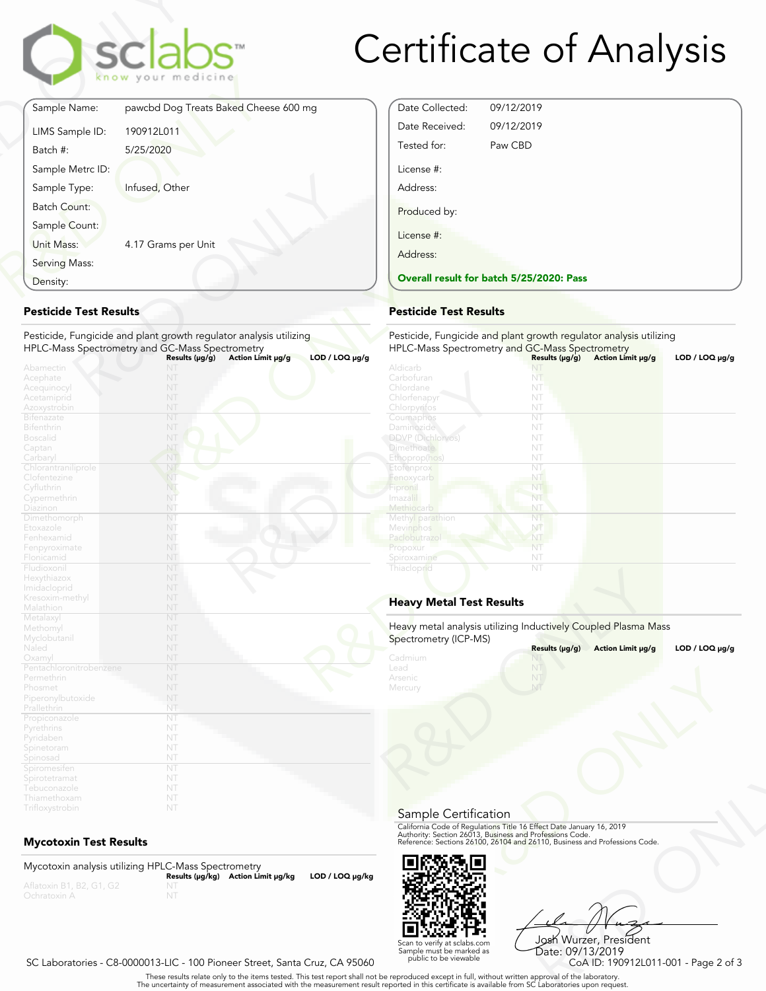

# Certificate of Analysis

| Sample Name:        | pawcbd Dog Treats Baked Cheese 600 mg |
|---------------------|---------------------------------------|
| LIMS Sample ID:     | 190912L011                            |
| Batch #:            | 5/25/2020                             |
| Sample Metrc ID:    |                                       |
| Sample Type:        | Infused, Other                        |
| <b>Batch Count:</b> |                                       |
| Sample Count:       |                                       |
| Unit Mass:          | 4.17 Grams per Unit                   |
| Serving Mass:       |                                       |
| Density:            |                                       |

# **Pesticide Test Results**

| Density:                                                           |                                                                                                            | <b>Overall result for batc</b> |
|--------------------------------------------------------------------|------------------------------------------------------------------------------------------------------------|--------------------------------|
| <b>Pesticide Test Results</b>                                      | <b>Pesticide Test Results</b>                                                                              |                                |
| Pesticide, Fungicide and plant growth regulator analysis utilizing | Pesticide, Fungicide and                                                                                   |                                |
|                                                                    | HPLC-Mass Spectrometry and GC-Mass Spectrometry<br>$LOD / LOQ$ µg/g<br>Results (µg/g)<br>Action Limit µg/g | <b>HPLC-Mass Spectrometry</b>  |
| Abamectin                                                          | NT                                                                                                         | Aldicarb                       |
| Acephate                                                           | NT                                                                                                         | Carbofuran                     |
| Acequinocyl                                                        | NT                                                                                                         | Chlordane                      |
| Acetamiprid                                                        | NT                                                                                                         | Chlorfenapyr                   |
| Azoxystrobin                                                       | NT                                                                                                         | Chlorpyritos                   |
| <b>Bifenazate</b>                                                  | NT                                                                                                         | Coumaphos                      |
| <b>Bifenthrin</b>                                                  | NT                                                                                                         | <b>Daminozide</b>              |
| <b>Boscalid</b>                                                    | NT                                                                                                         | <b>DDVP</b> (Dichlorvos)       |
| Captan                                                             | NT                                                                                                         | <b>Dimethoate</b>              |
| Carbaryl                                                           | NT                                                                                                         | Ethoprop(hos)                  |
| Chlorantraniliprole                                                | NT                                                                                                         | Etofenprox                     |
| Clofentezine                                                       | NT                                                                                                         | Fenoxycarb                     |
| Cyfluthrin                                                         | NT                                                                                                         | Fipronil                       |
| Cypermethrin                                                       | NT                                                                                                         | Imazali                        |
| Diazinon                                                           | NT                                                                                                         | Methiocarb                     |
| Dimethomorph                                                       | NT                                                                                                         | Methyl parathion               |
| Etoxazole                                                          | NT                                                                                                         | Mevinphos                      |
| Fenhexamid                                                         | NT                                                                                                         | Paclobutrazol                  |
| Fenpyroximate                                                      | NT                                                                                                         | Propoxur                       |
| Flonicamid                                                         | NT                                                                                                         | Spiroxamine                    |
| Fludioxonil                                                        | NT                                                                                                         | Thiacloprid                    |
| Hexythiazox                                                        | NT                                                                                                         |                                |
| Imidacloprid                                                       | NT                                                                                                         |                                |
| Kresoxim-methyl                                                    | NT                                                                                                         | <b>Heavy Metal Test Res</b>    |
| Malathion                                                          | NT                                                                                                         |                                |
| Metalaxyl                                                          | NT                                                                                                         |                                |
| Methomyl                                                           | NT                                                                                                         | Heavy metal analysis utiliz    |
| Myclobutanil                                                       | NT                                                                                                         | Spectrometry (ICP-MS)          |
| Naled                                                              | NT                                                                                                         |                                |
| Oxamyl                                                             | NT                                                                                                         | Cadmium                        |
| Pentachloronitrobenzene                                            | NT<br>NT                                                                                                   | Lead                           |
| Permethrin                                                         | NT                                                                                                         | Arsenic                        |
| Phosmet                                                            | NT                                                                                                         | Mercury                        |
| Piperonylbutoxide<br>Prallethrin                                   | NT                                                                                                         |                                |
|                                                                    | NT                                                                                                         |                                |
| Propiconazole                                                      | NT                                                                                                         |                                |
| Pyrethrins<br>Pyridaben                                            | NT                                                                                                         |                                |
| Spinetoram                                                         | NT                                                                                                         |                                |
| Spinosad                                                           | NT                                                                                                         |                                |
| Spiromesiten                                                       | NT                                                                                                         |                                |
| Spirotetramat                                                      | NT                                                                                                         |                                |
| Tebuconazole                                                       | NT                                                                                                         |                                |
| Thiamethoxam                                                       | NT                                                                                                         |                                |
|                                                                    |                                                                                                            |                                |

# **Mycotoxin Test Results**

Mycotoxin analysis utilizing HPLC-Mass Spectrometry **Results (μg/kg) Action Limit μg/kg LOD / LOQ μg/kg** NT

| Date Collected: | 09/12/2019                               |
|-----------------|------------------------------------------|
| Date Received:  | 09/12/2019                               |
| Tested for:     | Paw CBD                                  |
| License #:      |                                          |
| Address:        |                                          |
| Produced by:    |                                          |
| License #:      |                                          |
| Address:        |                                          |
|                 | Overall result for batch 5/25/2020: Pass |

# **Pesticide Test Results**

| $LOD / LOQ \mu g/g$<br>Aldicarb | Results (µg/g)<br>NT | Action Limit µg/g | $LOD / LOQ \mu g/g$ |
|---------------------------------|----------------------|-------------------|---------------------|
| Carbofuran                      | NT                   |                   |                     |
| Chlordane                       | NT                   |                   |                     |
| Chlorfenapyr                    | NT                   |                   |                     |
| Chlorpyrifos                    | NT                   |                   |                     |
| Coumaphos                       | NT                   |                   |                     |
| <b>Daminozide</b>               | NT                   |                   |                     |
| <b>DDVP</b> (Dichlorvos)        | NT                   |                   |                     |
| <b>Dimethoate</b>               | NT                   |                   |                     |
| Ethoprop(hos)                   | NT                   |                   |                     |
| Etofenprox                      | NT                   |                   |                     |
| Fenoxycarb                      | NT                   |                   |                     |
| Fipronil                        | NT                   |                   |                     |
| Imazalil                        | NT                   |                   |                     |
| Methiocarb                      | NT                   |                   |                     |
| Methyl parathion                | NT                   |                   |                     |
| Mevinphos                       | NŤ                   |                   |                     |
| Paclobutrazol                   | NT                   |                   |                     |
| Propoxur                        | NT                   |                   |                     |
| Spiroxamine                     | NT                   |                   |                     |
| Thiacloprid                     | NT                   |                   |                     |
| <b>Heavy Metal Test Results</b> |                      |                   |                     |

# **Heavy Metal Test Results**

| Spectrometry (ICP-MS) | Heavy metal analysis utilizing Inductively Coupled Plasma Mass                                                                                                                                                 |                     |
|-----------------------|----------------------------------------------------------------------------------------------------------------------------------------------------------------------------------------------------------------|---------------------|
|                       | Results (µg/g)<br>Action Limit µg/g                                                                                                                                                                            | $LOD / LOQ \mu g/g$ |
| Cadmium<br>Lead       | NT                                                                                                                                                                                                             |                     |
| Arsenic               |                                                                                                                                                                                                                |                     |
| Mercury               |                                                                                                                                                                                                                |                     |
|                       |                                                                                                                                                                                                                |                     |
|                       |                                                                                                                                                                                                                |                     |
|                       |                                                                                                                                                                                                                |                     |
|                       |                                                                                                                                                                                                                |                     |
|                       |                                                                                                                                                                                                                |                     |
|                       |                                                                                                                                                                                                                |                     |
|                       |                                                                                                                                                                                                                |                     |
|                       |                                                                                                                                                                                                                |                     |
|                       |                                                                                                                                                                                                                |                     |
| Sample Certification  |                                                                                                                                                                                                                |                     |
|                       |                                                                                                                                                                                                                |                     |
|                       | California Code of Regulations Title 16 Effect Date January 16, 2019<br>Authority: Section 26013, Business and Professions Code.<br>Reference: Sections 26100, 26104 and 26110, Business and Professions Code. |                     |
|                       |                                                                                                                                                                                                                |                     |



Frect Date January 16, 2019<br>
Trofessions Code.<br>
110, Business and Professions Code.<br>
110, Business and Professions Code.<br>
108 Wurzer, President<br>
Date: 09/13/2019<br>
CoA ID: 190912L011-001 - Page 2 of 3<br>
pproval of the labora Josh Wurzer, President Date: 09/13/2019

SC Laboratories - C8-0000013-LIC - 100 Pioneer Street, Santa Cruz, CA 95060

. These results relate only to the items tested. This test report shall not be reproduced except in full, without written approval of the laboratory.<br>The uncertainty of measurement associated with the measurement result re